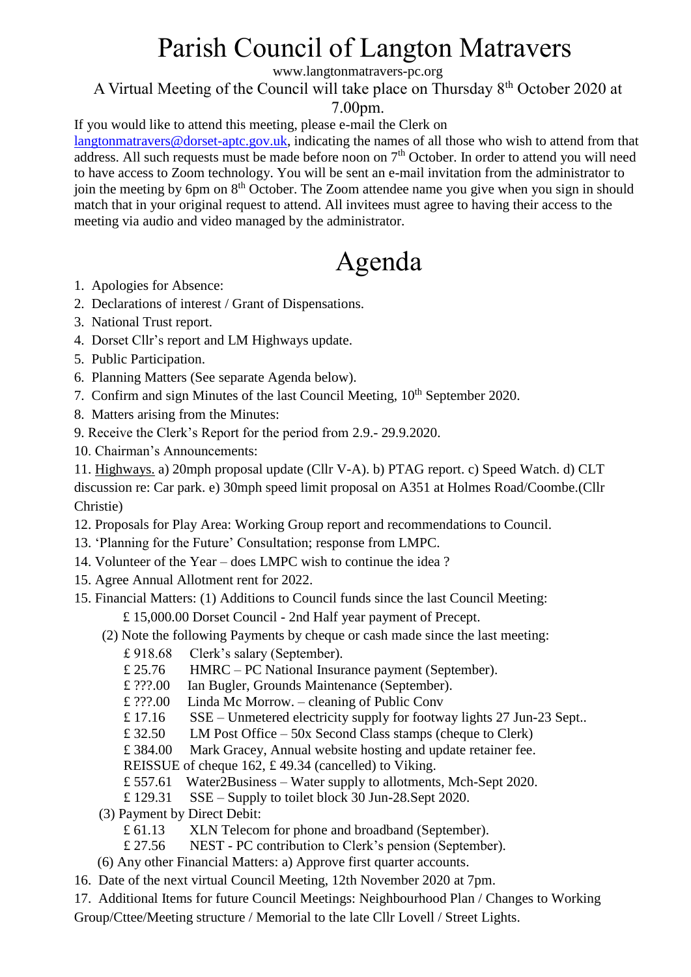## Parish Council of Langton Matravers

www.langtonmatravers-pc.org

### A Virtual Meeting of the Council will take place on Thursday 8th October 2020 at

7.00pm.

If you would like to attend this meeting, please e-mail the Clerk on

[langtonmatravers@dorset-aptc.gov.uk,](mailto:langtonmatravers@dorset-aptc.gov.uk) indicating the names of all those who wish to attend from that address. All such requests must be made before noon on 7<sup>th</sup> October. In order to attend you will need to have access to Zoom technology. You will be sent an e-mail invitation from the administrator to join the meeting by 6pm on  $8<sup>th</sup>$  October. The Zoom attendee name you give when you sign in should match that in your original request to attend. All invitees must agree to having their access to the meeting via audio and video managed by the administrator.

# Agenda

- 1. Apologies for Absence:
- 2. Declarations of interest / Grant of Dispensations.
- 3. National Trust report.
- 4. Dorset Cllr's report and LM Highways update.
- 5. Public Participation.
- 6. Planning Matters (See separate Agenda below).
- 7. Confirm and sign Minutes of the last Council Meeting, 10<sup>th</sup> September 2020.
- 8. Matters arising from the Minutes:
- 9. Receive the Clerk's Report for the period from 2.9.- 29.9.2020.
- 10. Chairman's Announcements:

11. Highways. a) 20mph proposal update (Cllr V-A). b) PTAG report. c) Speed Watch. d) CLT discussion re: Car park. e) 30mph speed limit proposal on A351 at Holmes Road/Coombe.(Cllr Christie)

- 12. Proposals for Play Area: Working Group report and recommendations to Council.
- 13. 'Planning for the Future' Consultation; response from LMPC.
- 14. Volunteer of the Year does LMPC wish to continue the idea ?
- 15. Agree Annual Allotment rent for 2022.
- 15. Financial Matters: (1) Additions to Council funds since the last Council Meeting: £ 15,000.00 Dorset Council - 2nd Half year payment of Precept.
	- (2) Note the following Payments by cheque or cash made since the last meeting:
		- £ 918.68 Clerk's salary (September).
		- £ 25.76 HMRC PC National Insurance payment (September).
		- £ ???.00 Ian Bugler, Grounds Maintenance (September).
		- £ ???.00 Linda Mc Morrow. cleaning of Public Conv
		- £ 17.16 SSE Unmetered electricity supply for footway lights 27 Jun-23 Sept..
		- £ 32.50 LM Post Office 50x Second Class stamps (cheque to Clerk)
		- £ 384.00 Mark Gracey, Annual website hosting and update retainer fee.
		- REISSUE of cheque 162, £ 49.34 (cancelled) to Viking.
		- £ 557.61 Water2Business Water supply to allotments, Mch-Sept 2020.
		- £ 129.31 SSE Supply to toilet block 30 Jun-28.Sept 2020.
	- (3) Payment by Direct Debit:
		- £ 61.13 XLN Telecom for phone and broadband (September).
		- £ 27.56 NEST PC contribution to Clerk's pension (September).
	- (6) Any other Financial Matters: a) Approve first quarter accounts.
- 16. Date of the next virtual Council Meeting, 12th November 2020 at 7pm.
- 17. Additional Items for future Council Meetings: Neighbourhood Plan / Changes to Working Group/Cttee/Meeting structure / Memorial to the late Cllr Lovell / Street Lights.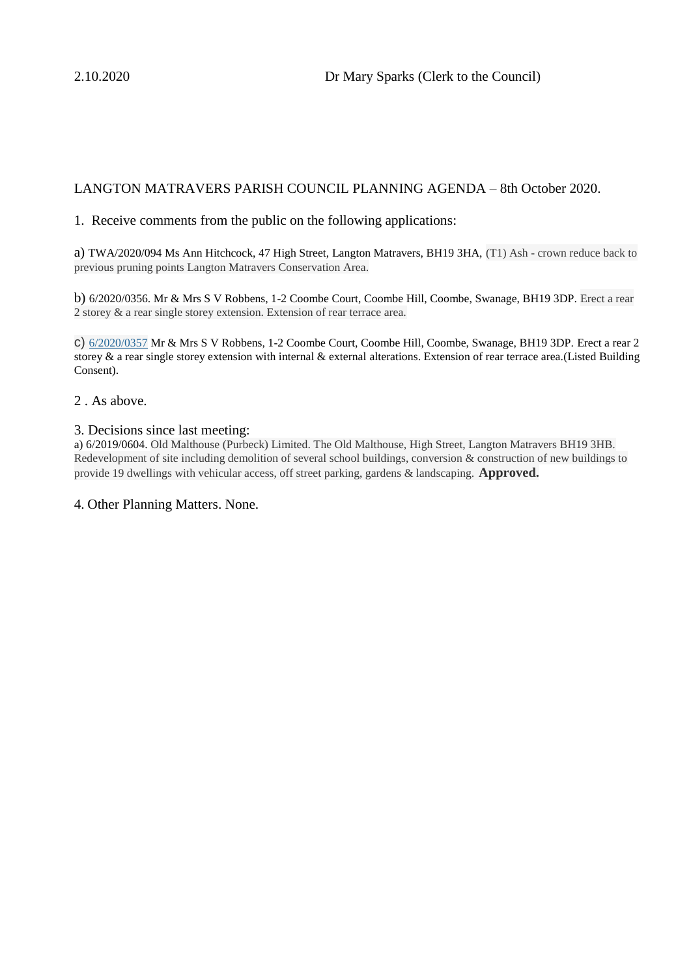#### LANGTON MATRAVERS PARISH COUNCIL PLANNING AGENDA – 8th October 2020.

#### 1. Receive comments from the public on the following applications:

a) TWA/2020/094 Ms Ann Hitchcock, 47 High Street, Langton Matravers, BH19 3HA, (T1) Ash - crown reduce back to previous pruning points Langton Matravers Conservation Area.

b) 6/2020/0356. Mr & Mrs S V Robbens, 1-2 Coombe Court, Coombe Hill, Coombe, Swanage, BH19 3DP. Erect a rear 2 storey & a rear single storey extension. Extension of rear terrace area.

c) [6/2020/0357](https://planningsearch.purbeck-dc.gov.uk/Planning/Display/6/2020/0357) Mr & Mrs S V Robbens, 1-2 Coombe Court, Coombe Hill, Coombe, Swanage, BH19 3DP. Erect a rear 2 storey & a rear single storey extension with internal & external alterations. Extension of rear terrace area.(Listed Building Consent).

#### 2 . As above.

#### 3. Decisions since last meeting:

a) 6/2019/0604. Old Malthouse (Purbeck) Limited. The Old Malthouse, High Street, Langton Matravers BH19 3HB. Redevelopment of site including demolition of several school buildings, conversion & construction of new buildings to provide 19 dwellings with vehicular access, off street parking, gardens & landscaping. **Approved.**

#### 4. Other Planning Matters. None.